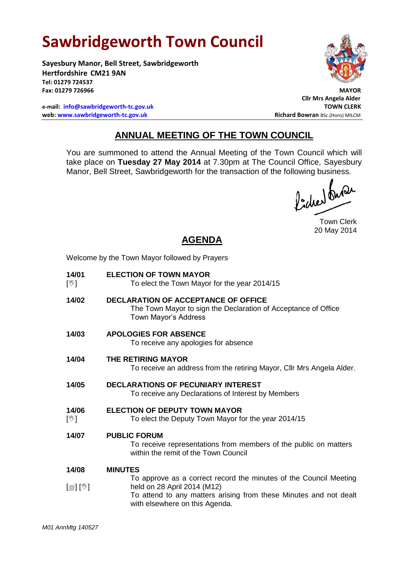# **Sawbridgeworth Town Council**

Welcome by the Town Mayor followed by Prayers

**Sayesbury Manor, Bell Street, Sawbridgeworth Hertfordshire CM21 9AN Tel: 01279 724537 Fax: 01279 726966 MAYOR**

**e-mail: [info@sawbridgeworth-tc.gov.uk](mailto:info@sawbridgeworth-tc.gov.uk) TOWN CLERK web: www.sawbridgeworth-tc.gov.uk Richard Bowran BSc.(Hons) MILCM Richard Bowran BSc.(Hons) MILCM** 



**Cllr Mrs Angela Alder**

# **ANNUAL MEETING OF THE TOWN COUNCIL**

You are summoned to attend the Annual Meeting of the Town Council which will take place on **Tuesday 27 May 2014** at 7.30pm at The Council Office, Sayesbury Manor, Bell Street, Sawbridgeworth for the transaction of the following business.<br>  $\int_{\mathbb{R}} \int_{\mathbb{R}} \mathbb{Q} \mathcal{L}$ 

Town Clerk 20 May 2014

# **AGENDA**

| 14/01<br>$[\mathbb{V}]$             | <b>ELECTION OF TOWN MAYOR</b><br>To elect the Town Mayor for the year 2014/15                                                                                                                                             |
|-------------------------------------|---------------------------------------------------------------------------------------------------------------------------------------------------------------------------------------------------------------------------|
| 14/02                               | <b>DECLARATION OF ACCEPTANCE OF OFFICE</b><br>The Town Mayor to sign the Declaration of Acceptance of Office<br>Town Mayor's Address                                                                                      |
| 14/03                               | <b>APOLOGIES FOR ABSENCE</b><br>To receive any apologies for absence                                                                                                                                                      |
| 14/04                               | THE RETIRING MAYOR<br>To receive an address from the retiring Mayor, Cllr Mrs Angela Alder.                                                                                                                               |
| 14/05                               | <b>DECLARATIONS OF PECUNIARY INTEREST</b><br>To receive any Declarations of Interest by Members                                                                                                                           |
| 14/06<br>$[\mathbb{V}]$             | <b>ELECTION OF DEPUTY TOWN MAYOR</b><br>To elect the Deputy Town Mayor for the year 2014/15                                                                                                                               |
| 14/07                               | <b>PUBLIC FORUM</b><br>To receive representations from members of the public on matters<br>within the remit of the Town Council                                                                                           |
| 14/08<br>$\mathbb{D}[\mathbb{D}^1]$ | <b>MINUTES</b><br>To approve as a correct record the minutes of the Council Meeting<br>held on 28 April 2014 (M12)<br>To attend to any matters arising from these Minutes and not dealt<br>with elsewhere on this Agenda. |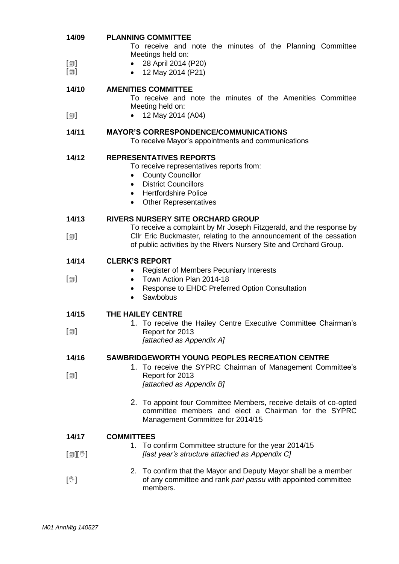| 14/09                                        | <b>PLANNING COMMITTEE</b>                                                                                       |
|----------------------------------------------|-----------------------------------------------------------------------------------------------------------------|
|                                              | To receive and note the minutes of the Planning Committee                                                       |
|                                              | Meetings held on:                                                                                               |
| $\lbrack \oplus \rbrack$<br>$[\blacksquare]$ | 28 April 2014 (P20)<br>12 May 2014 (P21)                                                                        |
|                                              |                                                                                                                 |
| 14/10                                        | <b>AMENITIES COMMITTEE</b>                                                                                      |
|                                              | To receive and note the minutes of the Amenities Committee                                                      |
|                                              | Meeting held on:                                                                                                |
| $\lbrack \oplus \rbrack$                     | 12 May 2014 (A04)<br>$\bullet$                                                                                  |
| 14/11                                        | <b>MAYOR'S CORRESPONDENCE/COMMUNICATIONS</b>                                                                    |
|                                              | To receive Mayor's appointments and communications                                                              |
|                                              |                                                                                                                 |
| 14/12                                        | <b>REPRESENTATIVES REPORTS</b><br>To receive representatives reports from:                                      |
|                                              | <b>County Councillor</b><br>$\bullet$                                                                           |
|                                              | <b>District Councillors</b><br>$\bullet$                                                                        |
|                                              | <b>Hertfordshire Police</b><br>$\bullet$                                                                        |
|                                              | <b>Other Representatives</b><br>$\bullet$                                                                       |
|                                              |                                                                                                                 |
| 14/13                                        | <b>RIVERS NURSERY SITE ORCHARD GROUP</b><br>To receive a complaint by Mr Joseph Fitzgerald, and the response by |
| $[\blacksquare]$                             | Cllr Eric Buckmaster, relating to the announcement of the cessation                                             |
|                                              | of public activities by the Rivers Nursery Site and Orchard Group.                                              |
|                                              |                                                                                                                 |
| 14/14                                        | <b>CLERK'S REPORT</b>                                                                                           |
| $[\blacksquare]$                             | Register of Members Pecuniary Interests<br>Town Action Plan 2014-18                                             |
|                                              | $\bullet$<br>Response to EHDC Preferred Option Consultation<br>٠                                                |
|                                              | Sawbobus<br>$\bullet$                                                                                           |
|                                              |                                                                                                                 |
| 14/15                                        | THE HAILEY CENTRE                                                                                               |
|                                              | 1. To receive the Hailey Centre Executive Committee Chairman's                                                  |
| $\boxdot$                                    | Report for 2013<br>[attached as Appendix A]                                                                     |
|                                              |                                                                                                                 |
| 14/16                                        | <b>SAWBRIDGEWORTH YOUNG PEOPLES RECREATION CENTRE</b>                                                           |
|                                              | 1. To receive the SYPRC Chairman of Management Committee's                                                      |
| $\lceil \circledcirc \rceil$                 | Report for 2013                                                                                                 |
|                                              | [attached as Appendix B]                                                                                        |
|                                              | 2. To appoint four Committee Members, receive details of co-opted                                               |
|                                              | committee members and elect a Chairman for the SYPRC                                                            |
|                                              | Management Committee for 2014/15                                                                                |
|                                              |                                                                                                                 |
| 14/17                                        | <b>COMMITTEES</b>                                                                                               |
| $\mathbb{D}(\mathbb{D})$                     | 1. To confirm Committee structure for the year 2014/15<br>[last year's structure attached as Appendix C]        |
|                                              |                                                                                                                 |
|                                              | 2. To confirm that the Mayor and Deputy Mayor shall be a member                                                 |
| $[\mathbb{V}]$                               | of any committee and rank pari passu with appointed committee                                                   |
|                                              | members.                                                                                                        |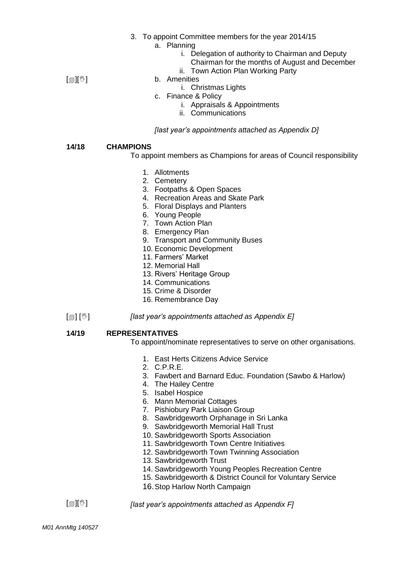- 3. To appoint Committee members for the year 2014/15
	- a. Planning
		- i. Delegation of authority to Chairman and Deputy
		- Chairman for the months of August and December ii. Town Action Plan Working Party

 $\mathbb{E}[\mathbb{E}^{\mathbb{I}}]$ 

- b. Amenities
	- i. Christmas Lights
- c. Finance & Policy
	- i. Appraisals & Appointments
	- ii. Communications

#### *[last year's appointments attached as Appendix D]*

#### **14/18 CHAMPIONS**

To appoint members as Champions for areas of Council responsibility

- 1. Allotments
- 2. Cemetery
- 3. Footpaths & Open Spaces
- 4. Recreation Areas and Skate Park
- 5. Floral Displays and Planters
- 6. Young People
- 7. Town Action Plan
- 8. Emergency Plan
- 9. Transport and Community Buses
- 10. Economic Development
- 11. Farmers' Market
- 12. Memorial Hall
- 13. Rivers' Heritage Group
- 14. Communications
- 15. Crime & Disorder
- 16. Remembrance Day
- $\lceil$  [ $\mathbb{I}$ ]  $\lceil \mathbb{V} \rceil$ *[last year's appointments attached as Appendix E]*

#### **14/19 REPRESENTATIVES**

To appoint/nominate representatives to serve on other organisations.

- 1. East Herts Citizens Advice Service
- 2. C.P.R.E.
- 3. Fawbert and Barnard Educ. Foundation (Sawbo & Harlow)
- 4. The Hailey Centre
- 5. Isabel Hospice
- 6. Mann Memorial Cottages
- 7. Pishiobury Park Liaison Group
- 8. Sawbridgeworth Orphanage in Sri Lanka
- 9. Sawbridgeworth Memorial Hall Trust
- 10. Sawbridgeworth Sports Association
- 11. Sawbridgeworth Town Centre Initiatives
- 12. Sawbridgeworth Town Twinning Association
- 13. Sawbridgeworth Trust
- 14. Sawbridgeworth Young Peoples Recreation Centre
- 15. Sawbridgeworth & District Council for Voluntary Service
- 16.Stop Harlow North Campaign

 $\mathbb{E}[\mathbb{E}^{\mathbb{I}}]$ 

*[last year's appointments attached as Appendix F]*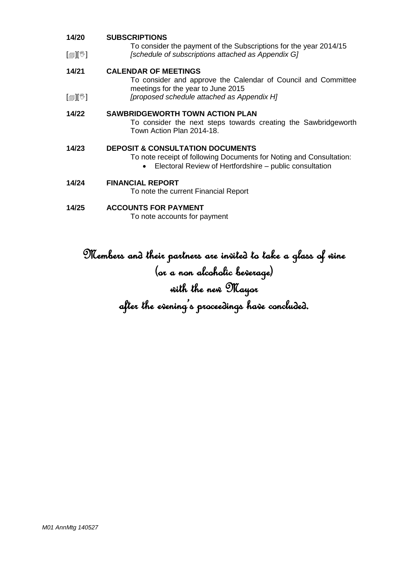| 14/20                      | <b>SUBSCRIPTIONS</b><br>To consider the payment of the Subscriptions for the year 2014/15                                                                                     |
|----------------------------|-------------------------------------------------------------------------------------------------------------------------------------------------------------------------------|
| $[\mathbb{S}][\mathbb{S}]$ | [schedule of subscriptions attached as Appendix G]                                                                                                                            |
| 14/21                      | <b>CALENDAR OF MEETINGS</b><br>To consider and approve the Calendar of Council and Committee<br>meetings for the year to June 2015                                            |
| $\mathbb{R}^n$ (a)         | [proposed schedule attached as Appendix H]                                                                                                                                    |
| 14/22                      | <b>SAWBRIDGEWORTH TOWN ACTION PLAN</b><br>To consider the next steps towards creating the Sawbridgeworth<br>Town Action Plan 2014-18.                                         |
| 14/23                      | <b>DEPOSIT &amp; CONSULTATION DOCUMENTS</b><br>To note receipt of following Documents for Noting and Consultation:<br>Electoral Review of Hertfordshire – public consultation |
| 14/24                      | <b>FINANCIAL REPORT</b><br>To note the current Financial Report                                                                                                               |
| 14/25                      | <b>ACCOUNTS FOR PAYMENT</b><br>To note accounts for payment                                                                                                                   |

# Members and their partners are invited to take a glass of wine (or a non alcoholic beverage) with the new Mayor after the evening's proceedings have concluded.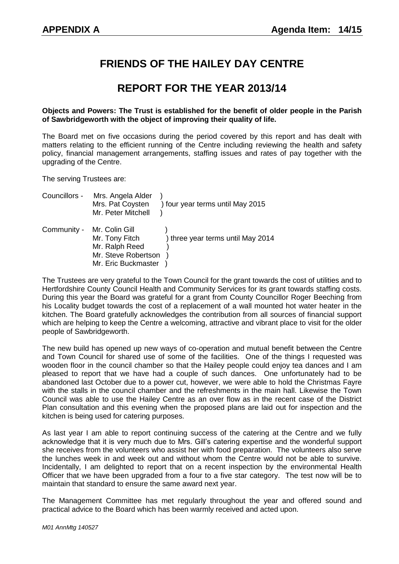# **FRIENDS OF THE HAILEY DAY CENTRE**

# **REPORT FOR THE YEAR 2013/14**

#### **Objects and Powers: The Trust is established for the benefit of older people in the Parish of Sawbridgeworth with the object of improving their quality of life.**

The Board met on five occasions during the period covered by this report and has dealt with matters relating to the efficient running of the Centre including reviewing the health and safety policy, financial management arrangements, staffing issues and rates of pay together with the upgrading of the Centre.

The serving Trustees are:

| Councillors - | Mrs. Angela Alder<br>Mrs. Pat Coysten<br>Mr. Peter Mitchell                                      | ) four year terms until May 2015  |
|---------------|--------------------------------------------------------------------------------------------------|-----------------------------------|
| Community -   | Mr. Colin Gill<br>Mr. Tony Fitch<br>Mr. Ralph Reed<br>Mr. Steve Robertson<br>Mr. Eric Buckmaster | ) three year terms until May 2014 |

The Trustees are very grateful to the Town Council for the grant towards the cost of utilities and to Hertfordshire County Council Health and Community Services for its grant towards staffing costs. During this year the Board was grateful for a grant from County Councillor Roger Beeching from his Locality budget towards the cost of a replacement of a wall mounted hot water heater in the kitchen. The Board gratefully acknowledges the contribution from all sources of financial support which are helping to keep the Centre a welcoming, attractive and vibrant place to visit for the older people of Sawbridgeworth.

The new build has opened up new ways of co-operation and mutual benefit between the Centre and Town Council for shared use of some of the facilities. One of the things I requested was wooden floor in the council chamber so that the Hailey people could enjoy tea dances and I am pleased to report that we have had a couple of such dances. One unfortunately had to be abandoned last October due to a power cut, however, we were able to hold the Christmas Fayre with the stalls in the council chamber and the refreshments in the main hall. Likewise the Town Council was able to use the Hailey Centre as an over flow as in the recent case of the District Plan consultation and this evening when the proposed plans are laid out for inspection and the kitchen is being used for catering purposes.

As last year I am able to report continuing success of the catering at the Centre and we fully acknowledge that it is very much due to Mrs. Gill's catering expertise and the wonderful support she receives from the volunteers who assist her with food preparation. The volunteers also serve the lunches week in and week out and without whom the Centre would not be able to survive. Incidentally, I am delighted to report that on a recent inspection by the environmental Health Officer that we have been upgraded from a four to a five star category. The test now will be to maintain that standard to ensure the same award next year.

The Management Committee has met regularly throughout the year and offered sound and practical advice to the Board which has been warmly received and acted upon.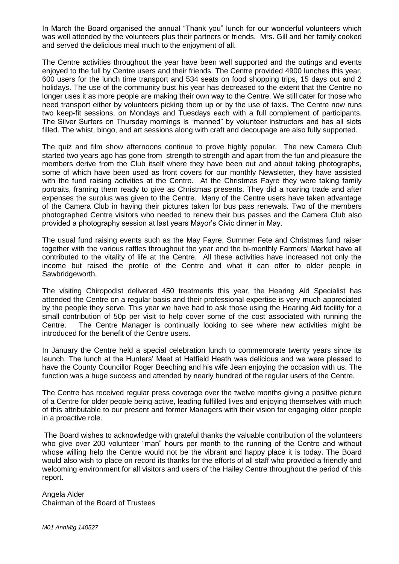In March the Board organised the annual "Thank you" lunch for our wonderful volunteers which was well attended by the volunteers plus their partners or friends. Mrs. Gill and her family cooked and served the delicious meal much to the enjoyment of all.

The Centre activities throughout the year have been well supported and the outings and events enjoyed to the full by Centre users and their friends. The Centre provided 4900 lunches this year, 600 users for the lunch time transport and 534 seats on food shopping trips, 15 days out and 2 holidays. The use of the community bust his year has decreased to the extent that the Centre no longer uses it as more people are making their own way to the Centre. We still cater for those who need transport either by volunteers picking them up or by the use of taxis. The Centre now runs two keep-fit sessions, on Mondays and Tuesdays each with a full complement of participants. The Silver Surfers on Thursday mornings is "manned" by volunteer instructors and has all slots filled. The whist, bingo, and art sessions along with craft and decoupage are also fully supported.

The quiz and film show afternoons continue to prove highly popular. The new Camera Club started two years ago has gone from strength to strength and apart from the fun and pleasure the members derive from the Club itself where they have been out and about taking photographs, some of which have been used as front covers for our monthly Newsletter, they have assisted with the fund raising activities at the Centre. At the Christmas Fayre they were taking family portraits, framing them ready to give as Christmas presents. They did a roaring trade and after expenses the surplus was given to the Centre. Many of the Centre users have taken advantage of the Camera Club in having their pictures taken for bus pass renewals. Two of the members photographed Centre visitors who needed to renew their bus passes and the Camera Club also provided a photography session at last years Mayor's Civic dinner in May.

The usual fund raising events such as the May Fayre, Summer Fete and Christmas fund raiser together with the various raffles throughout the year and the bi-monthly Farmers' Market have all contributed to the vitality of life at the Centre. All these activities have increased not only the income but raised the profile of the Centre and what it can offer to older people in Sawbridgeworth.

The visiting Chiropodist delivered 450 treatments this year, the Hearing Aid Specialist has attended the Centre on a regular basis and their professional expertise is very much appreciated by the people they serve. This year we have had to ask those using the Hearing Aid facility for a small contribution of 50p per visit to help cover some of the cost associated with running the Centre. The Centre Manager is continually looking to see where new activities might be introduced for the benefit of the Centre users.

In January the Centre held a special celebration lunch to commemorate twenty years since its launch. The lunch at the Hunters' Meet at Hatfield Heath was delicious and we were pleased to have the County Councillor Roger Beeching and his wife Jean enjoying the occasion with us. The function was a huge success and attended by nearly hundred of the regular users of the Centre.

The Centre has received regular press coverage over the twelve months giving a positive picture of a Centre for older people being active, leading fulfilled lives and enjoying themselves with much of this attributable to our present and former Managers with their vision for engaging older people in a proactive role.

The Board wishes to acknowledge with grateful thanks the valuable contribution of the volunteers who give over 200 volunteer "man" hours per month to the running of the Centre and without whose willing help the Centre would not be the vibrant and happy place it is today. The Board would also wish to place on record its thanks for the efforts of all staff who provided a friendly and welcoming environment for all visitors and users of the Hailey Centre throughout the period of this report.

Angela Alder Chairman of the Board of Trustees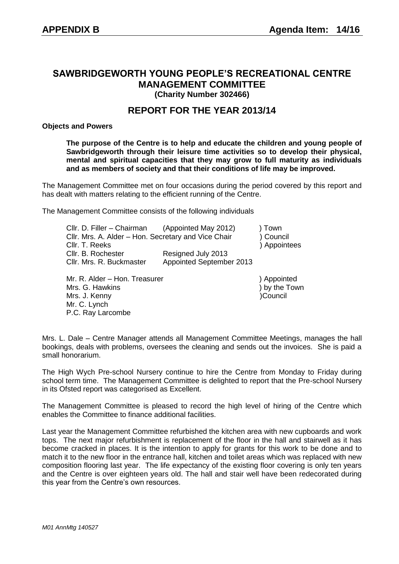### **SAWBRIDGEWORTH YOUNG PEOPLE'S RECREATIONAL CENTRE MANAGEMENT COMMITTEE (Charity Number 302466)**

## **REPORT FOR THE YEAR 2013/14**

#### **Objects and Powers**

**The purpose of the Centre is to help and educate the children and young people of Sawbridgeworth through their leisure time activities so to develop their physical, mental and spiritual capacities that they may grow to full maturity as individuals and as members of society and that their conditions of life may be improved.**

The Management Committee met on four occasions during the period covered by this report and has dealt with matters relating to the efficient running of the Centre.

The Management Committee consists of the following individuals

| Cllr. D. Filler - Chairman                          | (Appointed May 2012)     | ) Town       |
|-----------------------------------------------------|--------------------------|--------------|
| Cllr. Mrs. A. Alder - Hon. Secretary and Vice Chair | ) Council                |              |
| Cllr. T. Reeks                                      |                          | ) Appointees |
| Cllr. B. Rochester                                  | Resigned July 2013       |              |
| Cllr. Mrs. R. Buckmaster                            | Appointed September 2013 |              |

Mr. R. Alder – Hon. Treasurer (and the control of the suppointed ) Appointed Mrs. G. Hawkins ) by the Town Mrs. J. Kenny (2008) 2008 (2012) 2012 (2013) 2012 (2014) 2022 (2014) 2022 (2014) 2022 (2014) 2022 (2014) 2022 Mr. C. Lynch P.C. Ray Larcombe

Mrs. L. Dale – Centre Manager attends all Management Committee Meetings, manages the hall bookings, deals with problems, oversees the cleaning and sends out the invoices. She is paid a small honorarium.

The High Wych Pre-school Nursery continue to hire the Centre from Monday to Friday during school term time. The Management Committee is delighted to report that the Pre-school Nursery in its Ofsted report was categorised as Excellent.

The Management Committee is pleased to record the high level of hiring of the Centre which enables the Committee to finance additional facilities.

Last year the Management Committee refurbished the kitchen area with new cupboards and work tops. The next major refurbishment is replacement of the floor in the hall and stairwell as it has become cracked in places. It is the intention to apply for grants for this work to be done and to match it to the new floor in the entrance hall, kitchen and toilet areas which was replaced with new composition flooring last year. The life expectancy of the existing floor covering is only ten years and the Centre is over eighteen years old. The hall and stair well have been redecorated during this year from the Centre's own resources.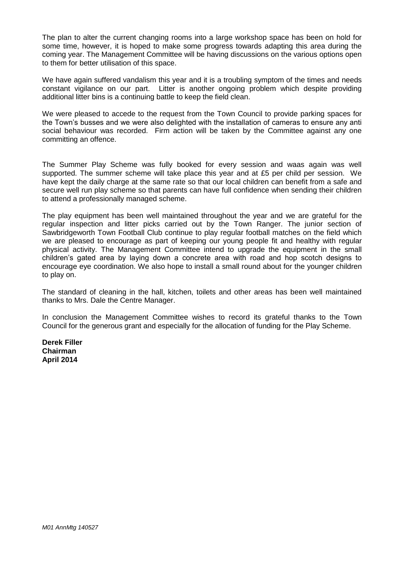The plan to alter the current changing rooms into a large workshop space has been on hold for some time, however, it is hoped to make some progress towards adapting this area during the coming year. The Management Committee will be having discussions on the various options open to them for better utilisation of this space.

We have again suffered vandalism this year and it is a troubling symptom of the times and needs constant vigilance on our part. Litter is another ongoing problem which despite providing additional litter bins is a continuing battle to keep the field clean.

We were pleased to accede to the request from the Town Council to provide parking spaces for the Town's busses and we were also delighted with the installation of cameras to ensure any anti social behaviour was recorded. Firm action will be taken by the Committee against any one committing an offence.

The Summer Play Scheme was fully booked for every session and waas again was well supported. The summer scheme will take place this year and at £5 per child per session. We have kept the daily charge at the same rate so that our local children can benefit from a safe and secure well run play scheme so that parents can have full confidence when sending their children to attend a professionally managed scheme.

The play equipment has been well maintained throughout the year and we are grateful for the regular inspection and litter picks carried out by the Town Ranger. The junior section of Sawbridgeworth Town Football Club continue to play regular football matches on the field which we are pleased to encourage as part of keeping our young people fit and healthy with regular physical activity. The Management Committee intend to upgrade the equipment in the small children's gated area by laying down a concrete area with road and hop scotch designs to encourage eye coordination. We also hope to install a small round about for the younger children to play on.

The standard of cleaning in the hall, kitchen, toilets and other areas has been well maintained thanks to Mrs. Dale the Centre Manager.

In conclusion the Management Committee wishes to record its grateful thanks to the Town Council for the generous grant and especially for the allocation of funding for the Play Scheme.

**Derek Filler Chairman April 2014**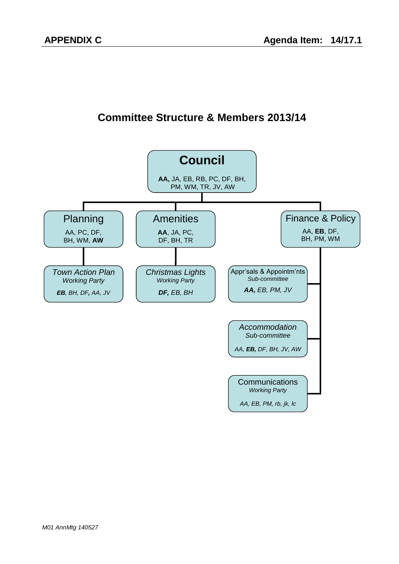# **Committee Structure & Members 2013/14**

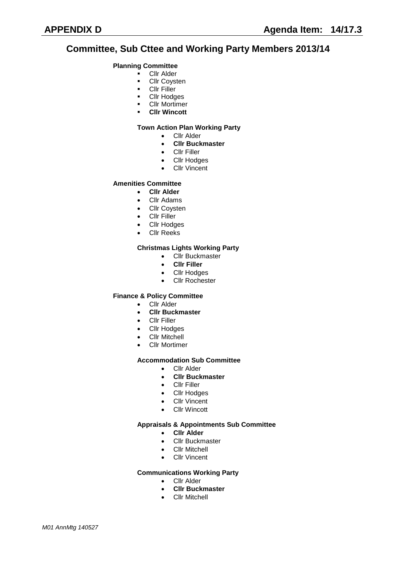## **Committee, Sub Cttee and Working Party Members 2013/14**

#### **Planning Committee**

- Cllr Alder
- **-** Cllr Coysten
- **Cllr Filler**
- **-** Cllr Hodges
- **-** Cllr Mortimer
- **Cllr Wincott**

#### **Town Action Plan Working Party**

- Cllr Alder
	- **Cllr Buckmaster**
	- Cllr Filler
	- Cllr Hodges
	- Cllr Vincent

#### **Amenities Committee**

- **Cllr Alder**
- Cllr Adams
- Cllr Coysten
- Cllr Filler
- Cllr Hodges
- Cllr Reeks

#### **Christmas Lights Working Party**

- Cllr Buckmaster
- **Cllr Filler**
- Cllr Hodges
- Cllr Rochester

#### **Finance & Policy Committee**

- Cllr Alder
- **Cllr Buckmaster**
- Cllr Filler
- Cllr Hodges
- Cllr Mitchell
- Cllr Mortimer

#### **Accommodation Sub Committee**

- Cllr Alder
- **Cllr Buckmaster**
- Cllr Filler
- Cllr Hodges
- Cllr Vincent
- Cllr Wincott

#### **Appraisals & Appointments Sub Committee**

- **Cllr Alder**
- Cllr Buckmaster
- Cllr Mitchell
- Cllr Vincent

#### **Communications Working Party**

- **•** Cllr Alder
- **Cllr Buckmaster**
- Cllr Mitchell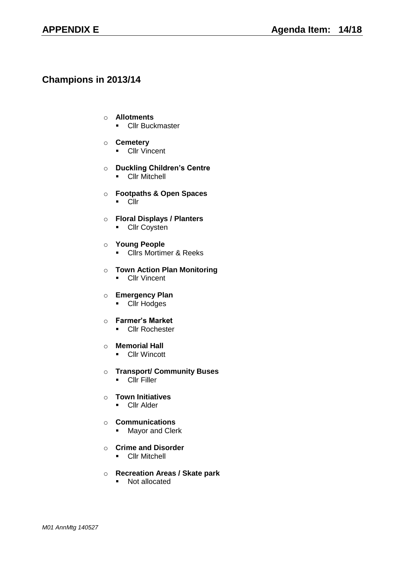## **Champions in 2013/14**

#### o **Allotments**

- **-** Cllr Buckmaster
- o **Cemetery**
	- **Cllr Vincent**
- o **Duckling Children's Centre**
	- **-** Cllr Mitchell
- o **Footpaths & Open Spaces**
	- **Cllr**
- o **Floral Displays / Planters**
	- **-** Cllr Coysten
- o **Young People**
	- **Cli**rs Mortimer & Reeks
- o **Town Action Plan Monitoring**
	- **Cllr Vincent**
- o **Emergency Plan**
	- **-** Cllr Hodges
- o **Farmer's Market**
	- **Cllr Rochester**
- o **Memorial Hall**
	- **-** Cllr Wincott
- o **Transport/ Community Buses**
	- **Cllr Filler**
- o **Town Initiatives**
	- **-** Cllr Alder

#### o **Communications**

- **Mayor and Clerk**
- o **Crime and Disorder**
	- **-** Cllr Mitchell
- o **Recreation Areas / Skate park**
	- **Not allocated**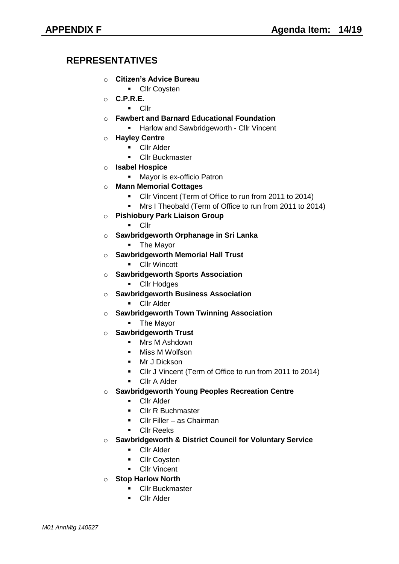# **REPRESENTATIVES**

- o **Citizen's Advice Bureau**
	- **-** Cllr Coysten
- o **C.P.R.E.**
	- **Cllr**
- o **Fawbert and Barnard Educational Foundation** 
	- **Harlow and Sawbridgeworth Cllr Vincent**
- o **Hayley Centre**
	- **Cllr Alder**
	- **Cllr Buckmaster**
- o **Isabel Hospice**
	- **Navor is ex-officio Patron**
- o **Mann Memorial Cottages**
	- **Cllr Vincent (Term of Office to run from 2011 to 2014)**
	- **Mrs I Theobald (Term of Office to run from 2011 to 2014)**
- o **Pishiobury Park Liaison Group**
	- **Cllr**
- o **Sawbridgeworth Orphanage in Sri Lanka**
	- **-** The Mayor
- o **Sawbridgeworth Memorial Hall Trust** 
	- **-** Cllr Wincott
- o **Sawbridgeworth Sports Association**
	- **-** Cllr Hodges
- o **Sawbridgeworth Business Association** 
	- **Cllr Alder**
- o **Sawbridgeworth Town Twinning Association**
	- **The Mayor**
- o **Sawbridgeworth Trust** 
	- **Mrs M Ashdown**
	- **Niss M Wolfson**
	- **Mr J Dickson**
	- Cllr J Vincent (Term of Office to run from 2011 to 2014)
	- **Cllr A Alder**
- o **Sawbridgeworth Young Peoples Recreation Centre**
	- **Cllr Alder**
	- **Cllr R Buchmaster**
	- Cllr Filler as Chairman
	- **Cllr Reeks**
- o **Sawbridgeworth & District Council for Voluntary Service**
	- **Cllr Alder**
	- **-** Cllr Coysten
	- **Cllr Vincent**
- o **Stop Harlow North**
	- **-** Cllr Buckmaster
	- **Cllr Alder**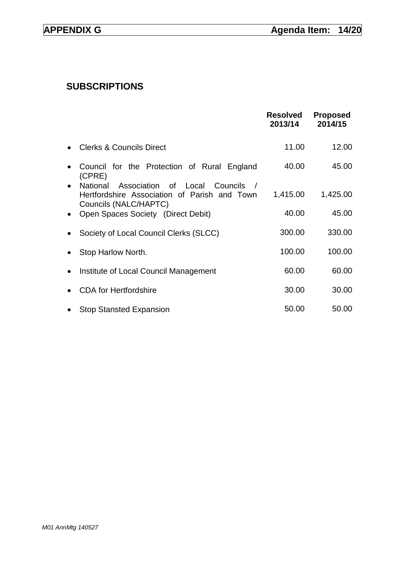# **SUBSCRIPTIONS**

|           |                                                                                                                    | <b>Resolved</b><br>2013/14 | <b>Proposed</b><br>2014/15 |
|-----------|--------------------------------------------------------------------------------------------------------------------|----------------------------|----------------------------|
|           | <b>Clerks &amp; Councils Direct</b>                                                                                | 11.00                      | 12.00                      |
| $\bullet$ | Council for the Protection of Rural England<br>(CPRE)                                                              | 40.00                      | 45.00                      |
| $\bullet$ | National<br>Association of Local Councils<br>Hertfordshire Association of Parish and Town<br>Councils (NALC/HAPTC) | 1,415.00                   | 1,425.00                   |
|           | • Open Spaces Society (Direct Debit)                                                                               | 40.00                      | 45.00                      |
| $\bullet$ | Society of Local Council Clerks (SLCC)                                                                             | 300.00                     | 330.00                     |
| $\bullet$ | Stop Harlow North.                                                                                                 | 100.00                     | 100.00                     |
| $\bullet$ | Institute of Local Council Management                                                                              | 60.00                      | 60.00                      |
|           | <b>CDA for Hertfordshire</b>                                                                                       | 30.00                      | 30.00                      |
|           | • Stop Stansted Expansion                                                                                          | 50.00                      | 50.00                      |